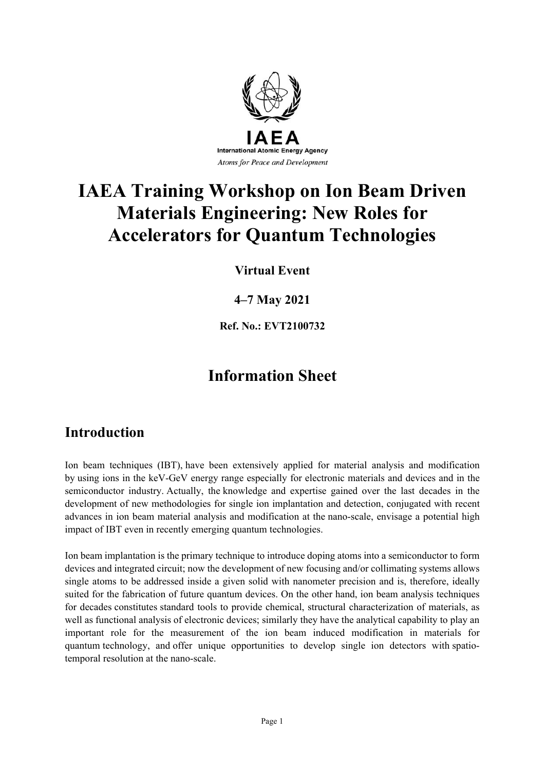

# **IAEA Training Workshop on Ion Beam Driven Materials Engineering: New Roles for Accelerators for Quantum Technologies**

**Virtual Event**

#### **4–7 May 2021**

**Ref. No.: EVT2100732**

# **Information Sheet**

# **Introduction**

Ion beam techniques (IBT), have been extensively applied for material analysis and modification by using ions in the keV-GeV energy range especially for electronic materials and devices and in the semiconductor industry. Actually, the knowledge and expertise gained over the last decades in the development of new methodologies for single ion implantation and detection, conjugated with recent advances in ion beam material analysis and modification at the nano-scale, envisage a potential high impact of IBT even in recently emerging quantum technologies.

Ion beam implantation is the primary technique to introduce doping atoms into a semiconductor to form devices and integrated circuit; now the development of new focusing and/or collimating systems allows single atoms to be addressed inside a given solid with nanometer precision and is, therefore, ideally suited for the fabrication of future quantum devices. On the other hand, ion beam analysis techniques for decades constitutes standard tools to provide chemical, structural characterization of materials, as well as functional analysis of electronic devices; similarly they have the analytical capability to play an important role for the measurement of the ion beam induced modification in materials for quantum technology, and offer unique opportunities to develop single ion detectors with spatiotemporal resolution at the nano-scale.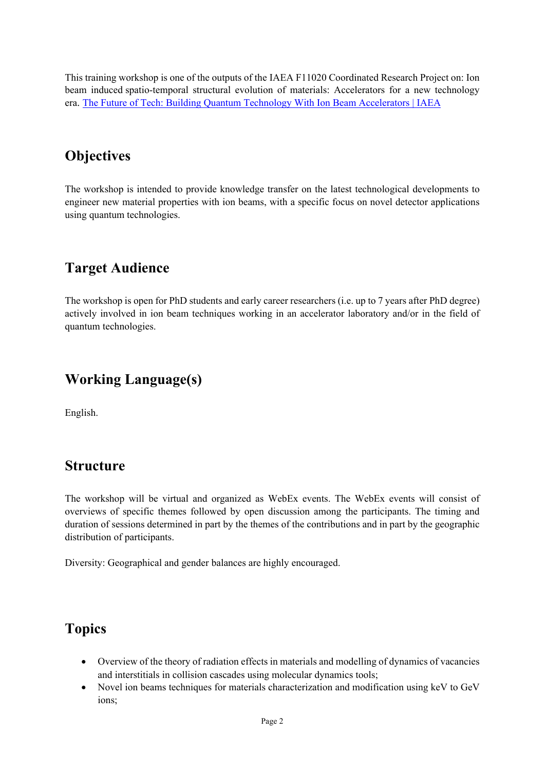This training workshop is one of the outputs of the IAEA F11020 Coordinated Research Project on: Ion beam induced spatio-temporal structural evolution of materials: Accelerators for a new technology era. The Future of Tech: Building Quantum Technology With Ion Beam Accelerators | IAEA

## **Objectives**

The workshop is intended to provide knowledge transfer on the latest technological developments to engineer new material properties with ion beams, with a specific focus on novel detector applications using quantum technologies.

## **Target Audience**

The workshop is open for PhD students and early career researchers (i.e. up to 7 years after PhD degree) actively involved in ion beam techniques working in an accelerator laboratory and/or in the field of quantum technologies.

### **Working Language(s)**

English.

### **Structure**

The workshop will be virtual and organized as WebEx events. The WebEx events will consist of overviews of specific themes followed by open discussion among the participants. The timing and duration of sessions determined in part by the themes of the contributions and in part by the geographic distribution of participants.

Diversity: Geographical and gender balances are highly encouraged.

### **Topics**

- Overview of the theory of radiation effects in materials and modelling of dynamics of vacancies and interstitials in collision cascades using molecular dynamics tools;
- Novel ion beams techniques for materials characterization and modification using keV to GeV ions;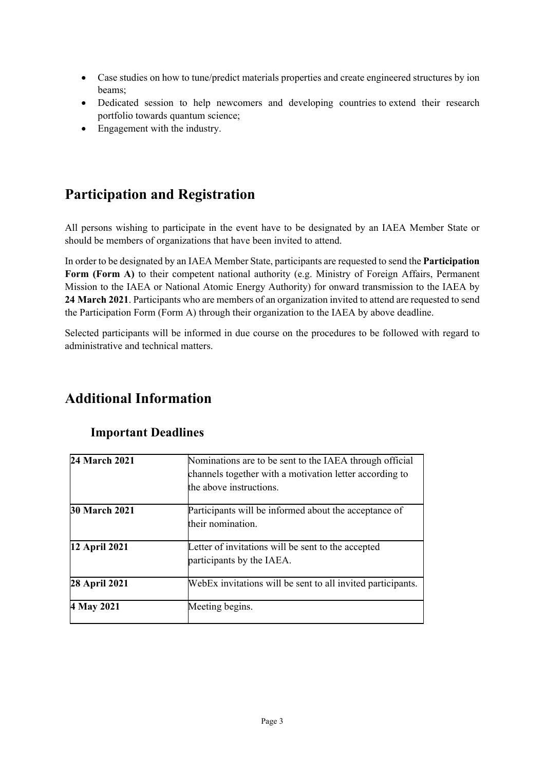- Case studies on how to tune/predict materials properties and create engineered structures by ion beams;
- Dedicated session to help newcomers and developing countries to extend their research portfolio towards quantum science;
- Engagement with the industry.

## **Participation and Registration**

All persons wishing to participate in the event have to be designated by an IAEA Member State or should be members of organizations that have been invited to attend.

In order to be designated by an IAEA Member State, participants are requested to send the **Participation Form (Form A)** to their competent national authority (e.g. Ministry of Foreign Affairs, Permanent Mission to the IAEA or National Atomic Energy Authority) for onward transmission to the IAEA by **24 March 2021**. Participants who are members of an organization invited to attend are requested to send the Participation Form (Form A) through their organization to the IAEA by above deadline.

Selected participants will be informed in due course on the procedures to be followed with regard to administrative and technical matters.

### **Additional Information**

| 24 March 2021        | Nominations are to be sent to the IAEA through official<br>channels together with a motivation letter according to<br>the above instructions. |  |  |  |
|----------------------|-----------------------------------------------------------------------------------------------------------------------------------------------|--|--|--|
| <b>30 March 2021</b> | Participants will be informed about the acceptance of<br>their nomination.                                                                    |  |  |  |
| 12 April 2021        | Letter of invitations will be sent to the accepted<br>participants by the IAEA.                                                               |  |  |  |
| 28 April 2021        | WebEx invitations will be sent to all invited participants.                                                                                   |  |  |  |
| 4 May 2021           | Meeting begins.                                                                                                                               |  |  |  |

#### **Important Deadlines**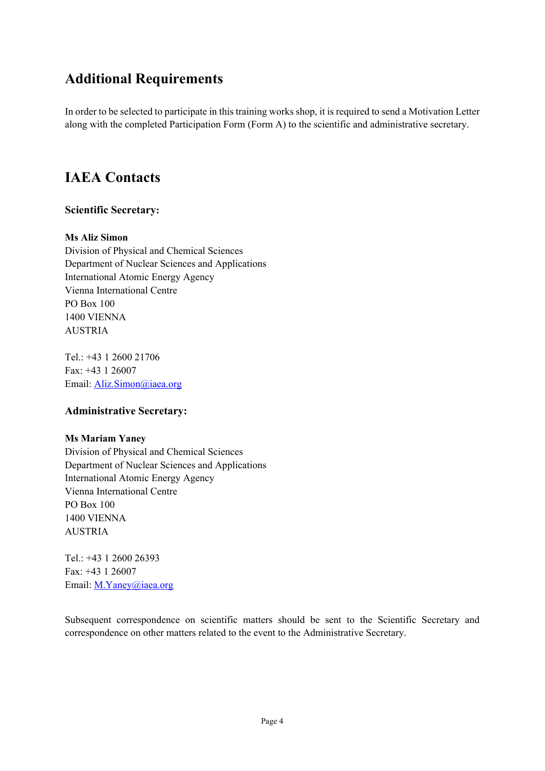## **Additional Requirements**

In order to be selected to participate in this training works shop, it is required to send a Motivation Letter along with the completed Participation Form (Form A) to the scientific and administrative secretary.

### **IAEA Contacts**

#### **Scientific Secretary:**

#### **Ms Aliz Simon**

Division of Physical and Chemical Sciences Department of Nuclear Sciences and Applications International Atomic Energy Agency Vienna International Centre PO Box 100 1400 VIENNA AUSTRIA

Tel.: +43 1 2600 21706 Fax: +43 1 26007 Email: Aliz.Simon@iaea.org

#### **Administrative Secretary:**

#### **Ms Mariam Yaney**

Division of Physical and Chemical Sciences Department of Nuclear Sciences and Applications International Atomic Energy Agency Vienna International Centre PO Box 100 1400 VIENNA AUSTRIA

 $Tel: +43 1 2600 26393$ Fax: +43 1 26007 Email: M.Yaney@iaea.org

Subsequent correspondence on scientific matters should be sent to the Scientific Secretary and correspondence on other matters related to the event to the Administrative Secretary.